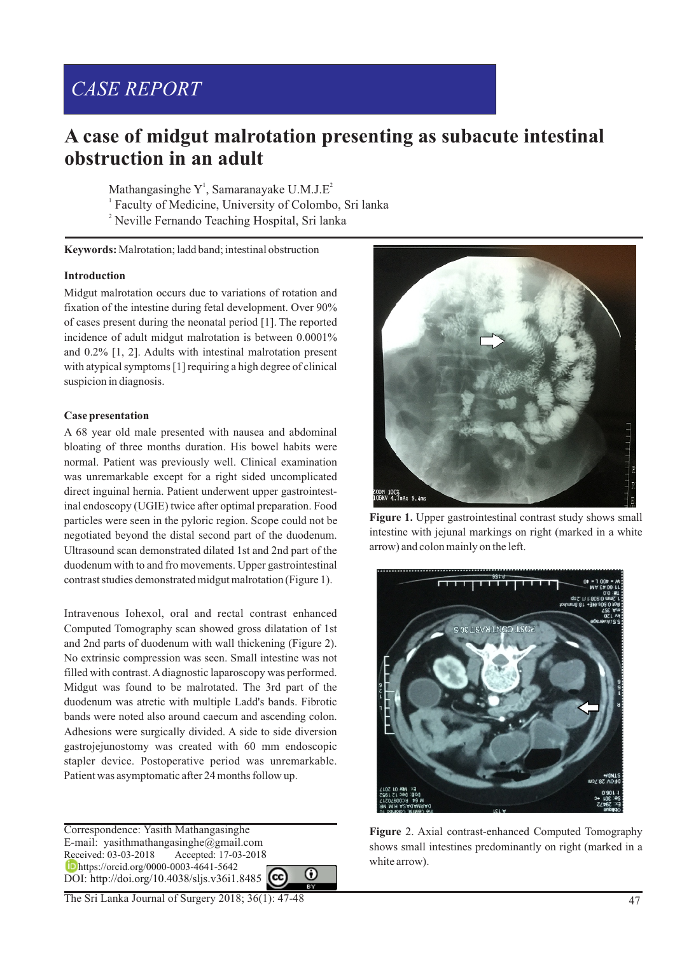# *CASE REPORT*

# **A case of midgut malrotation presenting as subacute intestinal obstruction in an adult**

Mathangasinghe  $Y<sup>1</sup>$ , Samaranayake U.M.J.E<sup>2</sup> <sup>1</sup> Faculty of Medicine, University of Colombo, Sri lanka <sup>2</sup> Neville Fernando Teaching Hospital, Sri lanka

**Keywords:** Malrotation; ladd band; intestinal obstruction

# **Introduction**

Midgut malrotation occurs due to variations of rotation and fixation of the intestine during fetal development. Over 90% of cases present during the neonatal period [1]. The reported incidence of adult midgut malrotation is between 0.0001% and 0.2% [1, 2]. Adults with intestinal malrotation present with atypical symptoms [1] requiring a high degree of clinical suspicion in diagnosis.

# **Case presentation**

A 68 year old male presented with nausea and abdominal bloating of three months duration. His bowel habits were normal. Patient was previously well. Clinical examination was unremarkable except for a right sided uncomplicated direct inguinal hernia. Patient underwent upper gastrointestinal endoscopy (UGIE) twice after optimal preparation. Food particles were seen in the pyloric region. Scope could not be negotiated beyond the distal second part of the duodenum. Ultrasound scan demonstrated dilated 1st and 2nd part of the duodenum with to and fro movements. Upper gastrointestinal contrast studies demonstrated midgut malrotation (Figure 1).

Intravenous Iohexol, oral and rectal contrast enhanced Computed Tomography scan showed gross dilatation of 1st and 2nd parts of duodenum with wall thickening (Figure 2). No extrinsic compression was seen. Small intestine was not filled with contrast. Adiagnostic laparoscopy was performed. Midgut was found to be malrotated. The 3rd part of the duodenum was atretic with multiple Ladd's bands. Fibrotic bands were noted also around caecum and ascending colon. Adhesions were surgically divided. A side to side diversion gastrojejunostomy was created with 60 mm endoscopic stapler device. Postoperative period was unremarkable. Patient was asymptomatic after 24 months follow up.

Correspondence: Yasith Mathangasinghe E-mail: yasithmathangasinghe@gmail.com Received: 03-03-2018 Accepted: 17-03-2018 https://orcid.org/0000-0003-4641-5642 DOI: http://doi.org/10.4038/sljs.v36i1.8485







Figure 1. Upper gastrointestinal contrast study shows small intestine with jejunal markings on right (marked in a white arrow) and colon mainly on the left.



**Figure** 2. Axial contrast-enhanced Computed Tomography shows small intestines predominantly on right (marked in a white arrow).